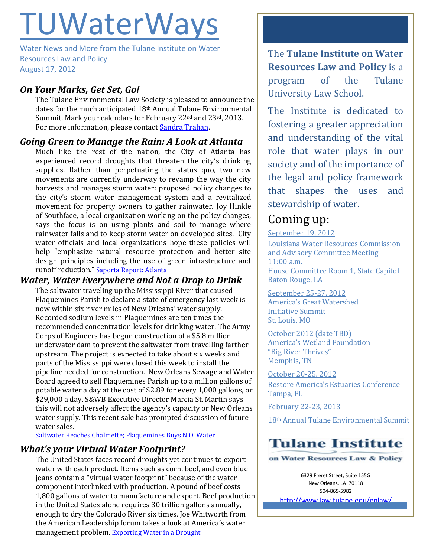# TUWaterWays

Water News and More from the Tulane Institute on Water Resources Law and Policy August 17, 2012

# *On Your Marks, Get Set, Go!*

The Tulane Environmental Law Society is pleased to announce the dates for the much anticipated 18th Annual Tulane Environmental Summit. Mark your calendars for February 22<sup>nd</sup> and 23<sup>rd</sup>, 2013. For more information, please contact [Sandra Trahan.](mailto:strahan1@tulane.edu)

### *Going Green to Manage the Rain: A Look at Atlanta*

Much like the rest of the nation, the City of Atlanta has experienced record droughts that threaten the city's drinking supplies. Rather than perpetuating the status quo, two new movements are currently underway to revamp the way the city harvests and manages storm water: proposed policy changes to the city's storm water management system and a revitalized movement for property owners to gather rainwater. Joy Hinkle of Southface, a local organization working on the policy changes, says the focus is on using plants and soil to manage where rainwater falls and to keep storm water on developed sites. City water officials and local organizations hope these policies will help "emphasize natural resource protection and better site design principles including the use of green infrastructure and runoff reduction." [Saporta Report: Atlanta](http://saportareport.com/blog/2012/08/atlanta-considers-new-storm-water-rules-as-part-of-rainwater-harvesting-program/) 

## *Water, Water Everywhere and Not a Drop to Drink*

The saltwater traveling up the Mississippi River that caused Plaquemines Parish to declare a state of emergency last week is now within six river miles of New Orleans' water supply. Recorded sodium levels in Plaquemines are ten times the recommended concentration levels for drinking water. The Army Corps of Engineers has begun construction of a \$5.8 million underwater dam to prevent the saltwater from travelling farther upstream. The project is expected to take about six weeks and parts of the Mississippi were closed this week to install the pipeline needed for construction. New Orleans Sewage and Water Board agreed to sell Plaquemines Parish up to a million gallons of potable water a day at the cost of \$2.89 for every 1,000 gallons, or \$29,000 a day. S&WB Executive Director Marcia St. Martin says this will not adversely affect the agency's capacity or New Orleans water supply. This recent sale has prompted discussion of future water sales.

[Saltwater Reaches Chalmette; Plaquemines Buys N.O. Water](http://www.nola.com/politics/index.ssf/2012/08/saltwater_wedge_reaches_chalme.html)

# *What's your Virtual Water Footprint?*

The United States faces record droughts yet continues to export water with each product. Items such as corn, beef, and even blue jeans contain a "virtual water footprint" because of the water component interlinked with production. A pound of beef costs 1,800 gallons of water to manufacture and export. Beef production in the United States alone requires 30 trillion gallons annually, enough to dry the Colorado River six times. Joe Whitworth from the American Leadership forum takes a look at America's water management problem. [Exporting Water in a Drought](http://www.huffingtonpost.com/joe-s-whitworth/water-footprint_b_1775976.html)

The **Tulane Institute on Water Resources Law and Policy** is a program of the Tulane University Law School.

The Institute is dedicated to fostering a greater appreciation and understanding of the vital role that water plays in our society and of the importance of the legal and policy framework that shapes the uses and stewardship of water.

# Coming up:

September 19, 2012 Louisiana Water Resources Commission and Advisory Committee Meeting 11:00 a.m. House Committee Room 1, State Capitol Baton Rouge, LA

September 25-27, 2012 America's Great Watershed Initiative Summit St. Louis, MO

October 2012 (date TBD) America's Wetland Foundation "Big River Thrives" Memphis, TN

October 20-25, 2012 Restore America's Estuaries Conference Tampa, FL

February 22-23, 2013

18th Annual Tulane Environmental Summit

# **Tulane Institute**

on Water Resources Law & Policy

6329 Freret Street, Suite 155G New Orleans, LA 70118 504-865-5982

<http://www.law.tulane.edu/enlaw/>